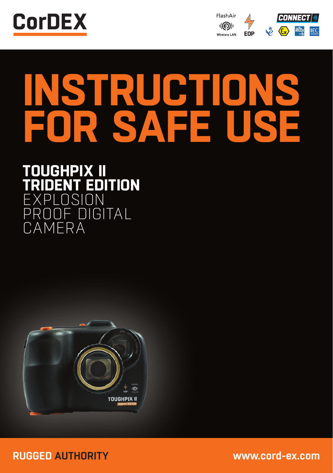



# **INSTRUCTIONS FOR SAFE USE**

## **TOUGHPIX II EDITION** XPLOSION<br>ROOF DIG OF DIGITAL CAMERA



**RUGGED AUTHORITY www.cord-ex.com**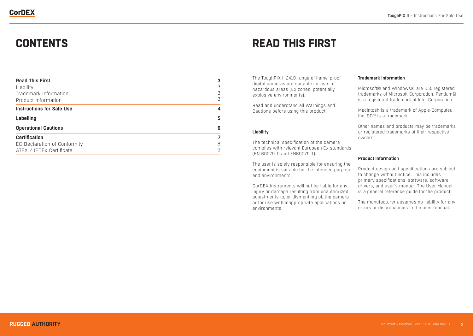| <b>Read This First</b>           | 3 |
|----------------------------------|---|
| Liability                        | 3 |
| Trademark Information            | 3 |
| Product Information              | 3 |
| <b>Instructions for Safe Use</b> | 4 |
| Labelling                        | 5 |
| <b>Operational Cautions</b>      | 6 |
| <b>Certification</b>             | 7 |
| EC Declaration of Conformity     | 8 |
| ATEX / IECEX Certificate         | 9 |

# **CONTENTS READ THIS FIRST**

The ToughPIX II 2410 range of flame-proof digital cameras are suitable for use in hazardous areas (Ex zones: potentially explosive environments).

Read and understand all Warnings and Cautions before using this product.

#### **Liability**

The technical specification of the camera complies with relevant European Ex standards (EN 60079-0 and EN60079-1).

The user is solely responsible for ensuring the equipment is suitable for the intended purpose and environments.

CorDEX Instruments will not be liable for any injury or damage resulting from unauthorized adjustments to, or dismantling of, the camera or for use with inappropriate applications or environments.

## **Trademark Information**

Microsoft® and Windows® are U.S. registered trademarks of Microsoft Corporation. Pentium® is a registered trademark of Intel Corporation.

Macintosh is a trademark of Apple Computer, Inc. SD™ is a trademark.

Other names and products may be trademarks or registered trademarks of their respective owners.

#### **Product Information**

Product design and specifications are subject to change without notice. This includes primary specifications, software, software drivers, and user's manual. The User Manual is a general reference guide for the product.

The manufacturer assumes no liability for any errors or discrepancies in the user manual.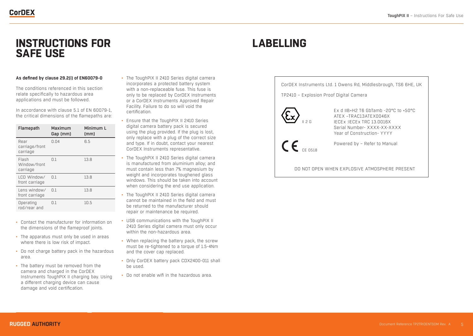## **INSTRUCTIONS FOR LABELLING SAFE USE**

### **As defined by clause 29.2(i) of EN60079-0**

The conditions referenced in this section relate specifically to hazardous area applications and must be followed.

In accordance with clause 5.1 of EN 60079-1, the critical dimensions of the flamepaths are:

| Flamepath                          | Maximum<br>Gap (mm) | Minimum L<br>(mm) |
|------------------------------------|---------------------|-------------------|
| Rear<br>carriage/front<br>carriage | 0.04                | 6.5               |
| Flash<br>Window/front<br>carriage  | 0.1                 | 13.8              |
| LCD Window/<br>front carriage      | 0.1                 | 13.8              |
| Lens window/<br>front carriage     | $\Omega$ .1         | 13.8              |
| Operating<br>rnd/rear and          | $\Omega$ .1         | 10.5              |

- Contact the manufacturer for information on the dimensions of the flameproof joints.
- The apparatus must only be used in areas where there is low risk of impact.
- Do not charge battery pack in the hazardous area.
- The battery must be removed from the camera and charged in the CorDEX Instruments ToughPIX II charging bay. Using a different charging device can cause damage and void certification.
- The ToughPIX II 2410 Series digital camera incorporates a protected battery system with a non-replaceable fuse. This fuse is only to be replaced by CorDEX Instruments or a CorDEX Instruments Approved Repair Facility. Failure to do so will void the certification.
- Ensure that the ToughPIX II 2410 Series digital camera battery pack is secured using the plug provided. If the plug is lost, only replace with a plug of the correct size and type. If in doubt, contact your nearest CorDEX Instruments representative.
- The ToughPIX II 2410 Series digital camera is manufactured from aluminium alloy; and must contain less than 7% magnesium by weight and incorporates toughened glass windows. This should be taken into account when considering the end use application.
- The ToughPIX II 2410 Series digital camera cannot be maintained in the field and must be returned to the manufacturer should repair or maintenance be required.
- USB communications with the ToughPIX II 2410 Series digital camera must only occur within the non-hazardous area.
- When replacing the battery pack, the screw must be re-tightened to a torque of 1.5-4Nm and the cover cap replaced.
- Only CorDEX battery pack CDX2400-011 shall be used.
- Do not enable wifi in the hazardous area.

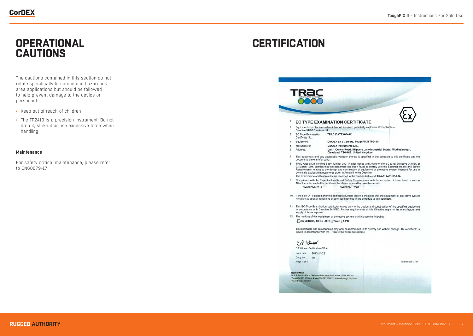# **OPERATIONAL CAUTIONS**

The cautions contained in this section do not relate specifically to safe use in hazardous area applications but should be followed to help prevent damage to the device or personnel.

- Keep out of reach of children
- The TP2410 is a precision instrument. Do not drop it, strike it or use excessive force when handling

#### **Maintenance**

For safety critical maintenance, please refer to EN60079-17

# **CERTIFICATION**

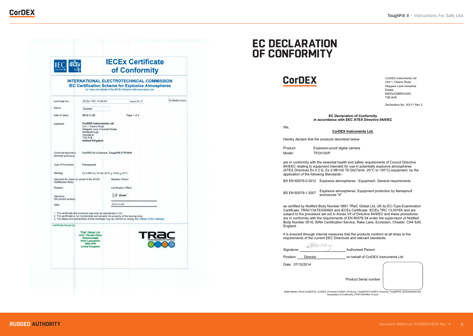|                                                                  | <b>IECEx Certificate</b><br><b>IECE</b><br>of Conformity                                                                                                    |                       |                                                                                                                                                                                |                      |  |  |
|------------------------------------------------------------------|-------------------------------------------------------------------------------------------------------------------------------------------------------------|-----------------------|--------------------------------------------------------------------------------------------------------------------------------------------------------------------------------|----------------------|--|--|
|                                                                  |                                                                                                                                                             |                       | <b>INTERNATIONAL ELECTROTECHNICAL COMMISSION</b><br><b>IEC Certification Scheme for Explosive Atmospheres</b><br>for rules and details of the IECEx Scheme visit www.iecex.com |                      |  |  |
| Certificate No.:                                                 | IECEx TRC 13.0016X                                                                                                                                          |                       | issue No.: 0                                                                                                                                                                   | Certificate history: |  |  |
| Status:                                                          | Current                                                                                                                                                     |                       |                                                                                                                                                                                |                      |  |  |
| Date of Issue:                                                   | 2013-11-28                                                                                                                                                  |                       | Page 1 of 3                                                                                                                                                                    |                      |  |  |
| Applicant:                                                       | <b>CorDEX Instruments Ltd</b><br>Unit 1 Owens Road,<br>Skippers Lane Industrial Estate,<br>Middlesbrough,<br>Cleveland,<br>TS6 6HE<br><b>United Kingdom</b> |                       |                                                                                                                                                                                |                      |  |  |
| <b>Electrical Apparatus:</b><br>Optional accessory:              | CorDEX Ex d Camera, ToughPIX II TP2410                                                                                                                      |                       |                                                                                                                                                                                |                      |  |  |
| Type of Protection:                                              | Flameproof                                                                                                                                                  |                       |                                                                                                                                                                                |                      |  |  |
| Marking:                                                         | Ex d IIB+H <sub>2</sub> T6 Gb -20°C $\leq$ Tamb $\leq$ 50°C                                                                                                 |                       |                                                                                                                                                                                |                      |  |  |
| Approved for issue on behalf of the IECEx<br>Certification Body: |                                                                                                                                                             | Stephen Winsor        |                                                                                                                                                                                |                      |  |  |
| Position:                                                        |                                                                                                                                                             | Certification Officer |                                                                                                                                                                                |                      |  |  |
| Signature:<br>(for printed version)                              |                                                                                                                                                             | SP Wisson             |                                                                                                                                                                                |                      |  |  |
| Date:                                                            |                                                                                                                                                             | 2013-11-28            |                                                                                                                                                                                |                      |  |  |
|                                                                  | 1. This certificate and schedule may only be reproduced in full.<br>2. This certificate is not transferable and remains the property of the issuing body.   |                       | 3. The Status and authenticity of this certificate may be verified by visiting the Official IECEx Website.                                                                     |                      |  |  |
| Certificate issued by:                                           |                                                                                                                                                             |                       |                                                                                                                                                                                |                      |  |  |
|                                                                  | <b>TRaC Global Ltd.</b><br><b>Unit 1 Pendle Place</b><br>Skelmersdale<br><b>West Lancashire</b><br>WN8 9PN<br><b>United Kingdom</b>                         |                       |                                                                                                                                                                                |                      |  |  |
|                                                                  |                                                                                                                                                             |                       |                                                                                                                                                                                |                      |  |  |

## **EC DECLARATION OF CONFORMITY**



CorDEX Instruments Ltd Unit 1, Owens Road Skippers Lane Industrial Estate, MIDDLESBROUGH, TS6 6HE

Declaration No. SO/11 Rev 3

#### **EC Declaration of Conformity in accordance with EEC ATEX Directive 94/9/EC**

We,

**CorDEX Instruments Ltd.**

Hereby declare that the products described below

Product: Explosion-proof digital camera Model: TP2410XP

are in conformity with the essential health and safety requirements of Council Directive 94/9/EC relating to equipment intended for use in potentially explosive atmospheres (ATEX Directive) Ex II 2 G, Ex d IIB+H2 T6 Gb(Tamb -20 $^{\circ}$ C to +50 $^{\circ}$ C) equipment, by the application of the following Standards:-

BS EN 60079-0:2012 Explosive atmospheres - Equipment. General requirements

BS EN 60079-1:2007 Explosive atmospheres. Equipment protection by flameproof enclosures "d"

as certified by Notified Body Number 0891 TRaC Global Ltd, UK by EC-Type Examination Certificate: TRAC13ATEX0046X and IECEx Certificate: IECEx TRC 13.0016X and are subject to the procedure set out in Annex VII of Directive 94/9/EC and these procedures are in conformity with the requirements of EN 80079-34 under the supervision of Notified Body Number 0518, SIRA Certification Service, Rake Lane, Eccleston, Chester, CH4 9JN, England.

It is ensured through internal measures that the products conform at all times to the requirements of the current EEC Directives and relevant standards.

auc Signature: **Authorised Person** 

Position: Director on behalf of CorDEX Instruments Ltd

Date: 07/10/2014

Product Serial number

Better:Better\_Work:CorDEX:03\_CorDEX\_Products:CorDEX\_Products\_ToughPIXII:CorDEX\_Products\_ToughPIXII\_ECDeclaration:EC Declaration of Conformity (TP2410XP)Rev A.docx